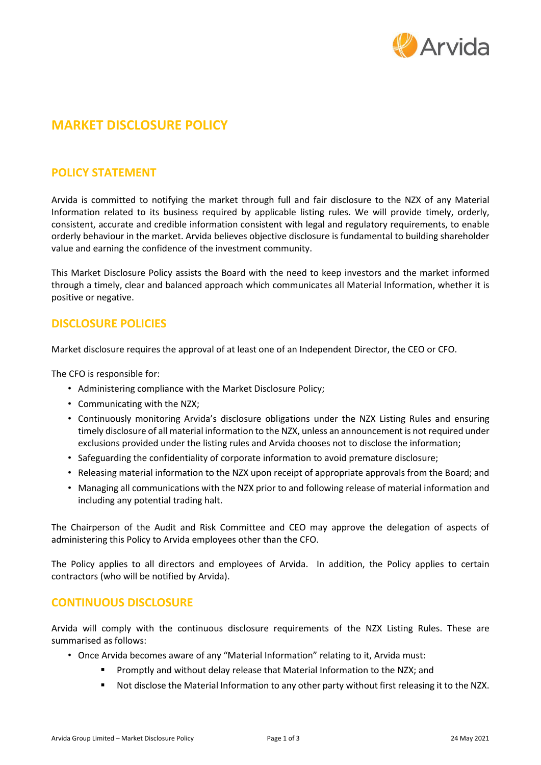

# **MARKET DISCLOSURE POLICY**

# **POLICY STATEMENT**

Arvida is committed to notifying the market through full and fair disclosure to the NZX of any Material Information related to its business required by applicable listing rules. We will provide timely, orderly, consistent, accurate and credible information consistent with legal and regulatory requirements, to enable orderly behaviour in the market. Arvida believes objective disclosure is fundamental to building shareholder value and earning the confidence of the investment community.

This Market Disclosure Policy assists the Board with the need to keep investors and the market informed through a timely, clear and balanced approach which communicates all Material Information, whether it is positive or negative.

# **DISCLOSURE POLICIES**

Market disclosure requires the approval of at least one of an Independent Director, the CEO or CFO.

The CFO is responsible for:

- Administering compliance with the Market Disclosure Policy;
- Communicating with the NZX;
- Continuously monitoring Arvida's disclosure obligations under the NZX Listing Rules and ensuring timely disclosure of all material information to the NZX, unless an announcement is not required under exclusions provided under the listing rules and Arvida chooses not to disclose the information;
- Safeguarding the confidentiality of corporate information to avoid premature disclosure;
- Releasing material information to the NZX upon receipt of appropriate approvals from the Board; and
- Managing all communications with the NZX prior to and following release of material information and including any potential trading halt.

The Chairperson of the Audit and Risk Committee and CEO may approve the delegation of aspects of administering this Policy to Arvida employees other than the CFO.

The Policy applies to all directors and employees of Arvida. In addition, the Policy applies to certain contractors (who will be notified by Arvida).

### **CONTINUOUS DISCLOSURE**

Arvida will comply with the continuous disclosure requirements of the NZX Listing Rules. These are summarised as follows:

- Once Arvida becomes aware of any "Material Information" relating to it, Arvida must:
	- Promptly and without delay release that Material Information to the NZX; and
	- Not disclose the Material Information to any other party without first releasing it to the NZX.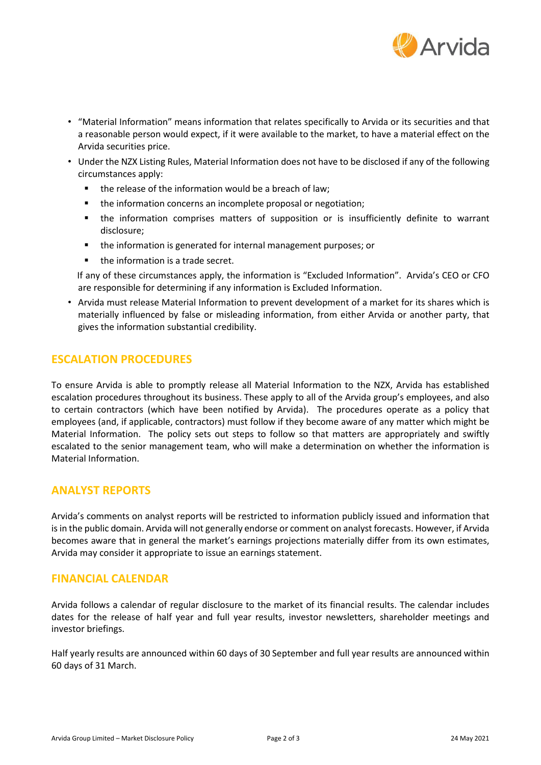

- "Material Information" means information that relates specifically to Arvida or its securities and that a reasonable person would expect, if it were available to the market, to have a material effect on the Arvida securities price.
- Under the NZX Listing Rules, Material Information does not have to be disclosed if any of the following circumstances apply:
	- the release of the information would be a breach of law;
	- the information concerns an incomplete proposal or negotiation;
	- the information comprises matters of supposition or is insufficiently definite to warrant disclosure;
	- the information is generated for internal management purposes; or
	- the information is a trade secret.

If any of these circumstances apply, the information is "Excluded Information". Arvida's CEO or CFO are responsible for determining if any information is Excluded Information.

• Arvida must release Material Information to prevent development of a market for its shares which is materially influenced by false or misleading information, from either Arvida or another party, that gives the information substantial credibility.

## **ESCALATION PROCEDURES**

To ensure Arvida is able to promptly release all Material Information to the NZX, Arvida has established escalation procedures throughout its business. These apply to all of the Arvida group's employees, and also to certain contractors (which have been notified by Arvida). The procedures operate as a policy that employees (and, if applicable, contractors) must follow if they become aware of any matter which might be Material Information. The policy sets out steps to follow so that matters are appropriately and swiftly escalated to the senior management team, who will make a determination on whether the information is Material Information.

### **ANALYST REPORTS**

Arvida's comments on analyst reports will be restricted to information publicly issued and information that isin the public domain. Arvida will not generally endorse or comment on analyst forecasts. However, if Arvida becomes aware that in general the market's earnings projections materially differ from its own estimates, Arvida may consider it appropriate to issue an earnings statement.

### **FINANCIAL CALENDAR**

Arvida follows a calendar of regular disclosure to the market of its financial results. The calendar includes dates for the release of half year and full year results, investor newsletters, shareholder meetings and investor briefings.

Half yearly results are announced within 60 days of 30 September and full year results are announced within 60 days of 31 March.